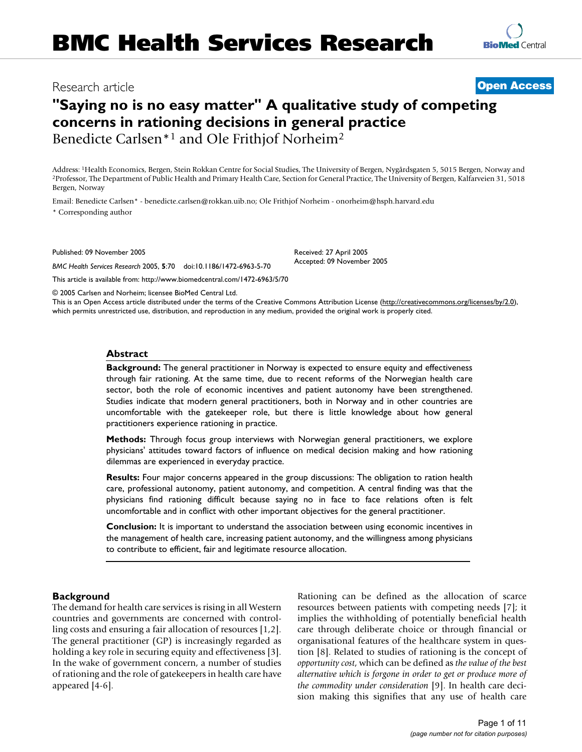# Research article **[Open Access](http://www.biomedcentral.com/info/about/charter/)**

**[BioMed](http://www.biomedcentral.com/)** Central

# **"Saying no is no easy matter" A qualitative study of competing concerns in rationing decisions in general practice** Benedicte Carlsen\*1 and Ole Frithjof Norheim2

Address: <sup>1</sup>Health Economics, Bergen, Stein Rokkan Centre for Social Studies, The University of Bergen, Nygårdsgaten 5, 5015 Bergen, Norway and<br>2Professor, The Department of Public Health and Primary Health Care, Section f Bergen, Norway

Email: Benedicte Carlsen\* - benedicte.carlsen@rokkan.uib.no; Ole Frithjof Norheim - onorheim@hsph.harvard.edu

\* Corresponding author

Published: 09 November 2005

*BMC Health Services Research* 2005, **5**:70 doi:10.1186/1472-6963-5-70 [This article is available from: http://www.biomedcentral.com/1472-6963/5/70](http://www.biomedcentral.com/1472-6963/5/70)

Received: 27 April 2005 Accepted: 09 November 2005

© 2005 Carlsen and Norheim; licensee BioMed Central Ltd.

This is an Open Access article distributed under the terms of the Creative Commons Attribution License [\(http://creativecommons.org/licenses/by/2.0\)](http://creativecommons.org/licenses/by/2.0), which permits unrestricted use, distribution, and reproduction in any medium, provided the original work is properly cited.

#### **Abstract**

**Background:** The general practitioner in Norway is expected to ensure equity and effectiveness through fair rationing. At the same time, due to recent reforms of the Norwegian health care sector, both the role of economic incentives and patient autonomy have been strengthened. Studies indicate that modern general practitioners, both in Norway and in other countries are uncomfortable with the gatekeeper role, but there is little knowledge about how general practitioners experience rationing in practice.

**Methods:** Through focus group interviews with Norwegian general practitioners, we explore physicians' attitudes toward factors of influence on medical decision making and how rationing dilemmas are experienced in everyday practice.

**Results:** Four major concerns appeared in the group discussions: The obligation to ration health care, professional autonomy, patient autonomy, and competition. A central finding was that the physicians find rationing difficult because saying no in face to face relations often is felt uncomfortable and in conflict with other important objectives for the general practitioner.

**Conclusion:** It is important to understand the association between using economic incentives in the management of health care, increasing patient autonomy, and the willingness among physicians to contribute to efficient, fair and legitimate resource allocation.

# **Background**

The demand for health care services is rising in all Western countries and governments are concerned with controlling costs and ensuring a fair allocation of resources [1,2]. The general practitioner (GP) is increasingly regarded as holding a key role in securing equity and effectiveness [3]. In the wake of government concern, a number of studies of rationing and the role of gatekeepers in health care have appeared [4-6].

Rationing can be defined as the allocation of scarce resources between patients with competing needs [7]; it implies the withholding of potentially beneficial health care through deliberate choice or through financial or organisational features of the healthcare system in question [8]. Related to studies of rationing is the concept of *opportunity cost*, which can be defined as *the value of the best alternative which is forgone in order to get or produce more of the commodity under consideration* [9]. In health care decision making this signifies that any use of health care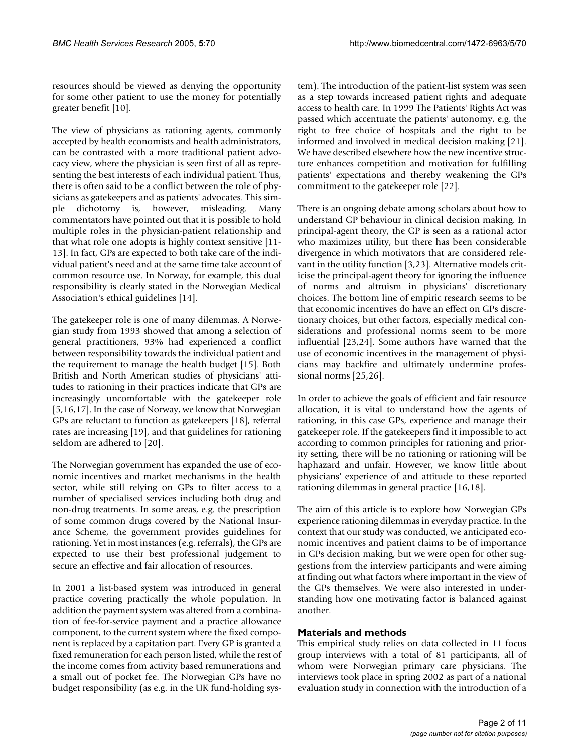resources should be viewed as denying the opportunity for some other patient to use the money for potentially greater benefit [10].

The view of physicians as rationing agents, commonly accepted by health economists and health administrators, can be contrasted with a more traditional patient advocacy view, where the physician is seen first of all as representing the best interests of each individual patient. Thus, there is often said to be a conflict between the role of physicians as gatekeepers and as patients' advocates. This simple dichotomy is, however, misleading. Many commentators have pointed out that it is possible to hold multiple roles in the physician-patient relationship and that what role one adopts is highly context sensitive [11- 13]. In fact, GPs are expected to both take care of the individual patient's need and at the same time take account of common resource use. In Norway, for example, this dual responsibility is clearly stated in the Norwegian Medical Association's ethical guidelines [14].

The gatekeeper role is one of many dilemmas. A Norwegian study from 1993 showed that among a selection of general practitioners, 93% had experienced a conflict between responsibility towards the individual patient and the requirement to manage the health budget [15]. Both British and North American studies of physicians' attitudes to rationing in their practices indicate that GPs are increasingly uncomfortable with the gatekeeper role [5,16,17]. In the case of Norway, we know that Norwegian GPs are reluctant to function as gatekeepers [18], referral rates are increasing [19], and that guidelines for rationing seldom are adhered to [20].

The Norwegian government has expanded the use of economic incentives and market mechanisms in the health sector, while still relying on GPs to filter access to a number of specialised services including both drug and non-drug treatments. In some areas, e.g. the prescription of some common drugs covered by the National Insurance Scheme, the government provides guidelines for rationing. Yet in most instances (e.g. referrals), the GPs are expected to use their best professional judgement to secure an effective and fair allocation of resources.

In 2001 a list-based system was introduced in general practice covering practically the whole population. In addition the payment system was altered from a combination of fee-for-service payment and a practice allowance component, to the current system where the fixed component is replaced by a capitation part. Every GP is granted a fixed remuneration for each person listed, while the rest of the income comes from activity based remunerations and a small out of pocket fee. The Norwegian GPs have no budget responsibility (as e.g. in the UK fund-holding system). The introduction of the patient-list system was seen as a step towards increased patient rights and adequate access to health care. In 1999 The Patients' Rights Act was passed which accentuate the patients' autonomy, e.g. the right to free choice of hospitals and the right to be informed and involved in medical decision making [21]. We have described elsewhere how the new incentive structure enhances competition and motivation for fulfilling patients' expectations and thereby weakening the GPs commitment to the gatekeeper role [22].

There is an ongoing debate among scholars about how to understand GP behaviour in clinical decision making. In principal-agent theory, the GP is seen as a rational actor who maximizes utility, but there has been considerable divergence in which motivators that are considered relevant in the utility function [3,23]. Alternative models criticise the principal-agent theory for ignoring the influence of norms and altruism in physicians' discretionary choices. The bottom line of empiric research seems to be that economic incentives do have an effect on GPs discretionary choices, but other factors, especially medical considerations and professional norms seem to be more influential [23,24]. Some authors have warned that the use of economic incentives in the management of physicians may backfire and ultimately undermine professional norms [25,26].

In order to achieve the goals of efficient and fair resource allocation, it is vital to understand how the agents of rationing, in this case GPs, experience and manage their gatekeeper role. If the gatekeepers find it impossible to act according to common principles for rationing and priority setting, there will be no rationing or rationing will be haphazard and unfair. However, we know little about physicians' experience of and attitude to these reported rationing dilemmas in general practice [16,18].

The aim of this article is to explore how Norwegian GPs experience rationing dilemmas in everyday practice. In the context that our study was conducted, we anticipated economic incentives and patient claims to be of importance in GPs decision making, but we were open for other suggestions from the interview participants and were aiming at finding out what factors where important in the view of the GPs themselves. We were also interested in understanding how one motivating factor is balanced against another.

# **Materials and methods**

This empirical study relies on data collected in 11 focus group interviews with a total of 81 participants, all of whom were Norwegian primary care physicians. The interviews took place in spring 2002 as part of a national evaluation study in connection with the introduction of a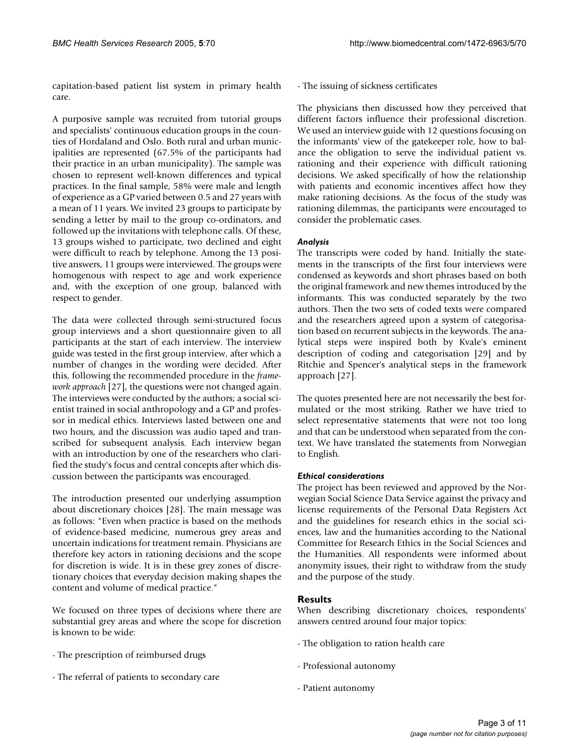capitation-based patient list system in primary health care.

A purposive sample was recruited from tutorial groups and specialists' continuous education groups in the counties of Hordaland and Oslo. Both rural and urban municipalities are represented (67.5% of the participants had their practice in an urban municipality). The sample was chosen to represent well-known differences and typical practices. In the final sample, 58% were male and length of experience as a GP varied between 0.5 and 27 years with a mean of 11 years. We invited 23 groups to participate by sending a letter by mail to the group co-ordinators, and followed up the invitations with telephone calls. Of these, 13 groups wished to participate, two declined and eight were difficult to reach by telephone. Among the 13 positive answers, 11 groups were interviewed. The groups were homogenous with respect to age and work experience and, with the exception of one group, balanced with respect to gender.

The data were collected through semi-structured focus group interviews and a short questionnaire given to all participants at the start of each interview. The interview guide was tested in the first group interview, after which a number of changes in the wording were decided. After this, following the recommended procedure in the *framework approach* [27], the questions were not changed again. The interviews were conducted by the authors; a social scientist trained in social anthropology and a GP and professor in medical ethics. Interviews lasted between one and two hours, and the discussion was audio taped and transcribed for subsequent analysis. Each interview began with an introduction by one of the researchers who clarified the study's focus and central concepts after which discussion between the participants was encouraged.

The introduction presented our underlying assumption about discretionary choices [28]. The main message was as follows: "Even when practice is based on the methods of evidence-based medicine, numerous grey areas and uncertain indications for treatment remain. Physicians are therefore key actors in rationing decisions and the scope for discretion is wide. It is in these grey zones of discretionary choices that everyday decision making shapes the content and volume of medical practice."

We focused on three types of decisions where there are substantial grey areas and where the scope for discretion is known to be wide:

- The prescription of reimbursed drugs
- The referral of patients to secondary care

# - The issuing of sickness certificates

The physicians then discussed how they perceived that different factors influence their professional discretion. We used an interview guide with 12 questions focusing on the informants' view of the gatekeeper role, how to balance the obligation to serve the individual patient vs. rationing and their experience with difficult rationing decisions. We asked specifically of how the relationship with patients and economic incentives affect how they make rationing decisions. As the focus of the study was rationing dilemmas, the participants were encouraged to consider the problematic cases.

# *Analysis*

The transcripts were coded by hand. Initially the statements in the transcripts of the first four interviews were condensed as keywords and short phrases based on both the original framework and new themes introduced by the informants. This was conducted separately by the two authors. Then the two sets of coded texts were compared and the researchers agreed upon a system of categorisation based on recurrent subjects in the keywords. The analytical steps were inspired both by Kvale's eminent description of coding and categorisation [29] and by Ritchie and Spencer's analytical steps in the framework approach [27].

The quotes presented here are not necessarily the best formulated or the most striking. Rather we have tried to select representative statements that were not too long and that can be understood when separated from the context. We have translated the statements from Norwegian to English.

# *Ethical considerations*

The project has been reviewed and approved by the Norwegian Social Science Data Service against the privacy and license requirements of the Personal Data Registers Act and the guidelines for research ethics in the social sciences, law and the humanities according to the National Committee for Research Ethics in the Social Sciences and the Humanities. All respondents were informed about anonymity issues, their right to withdraw from the study and the purpose of the study.

# **Results**

When describing discretionary choices, respondents' answers centred around four major topics:

- The obligation to ration health care
- Professional autonomy
- Patient autonomy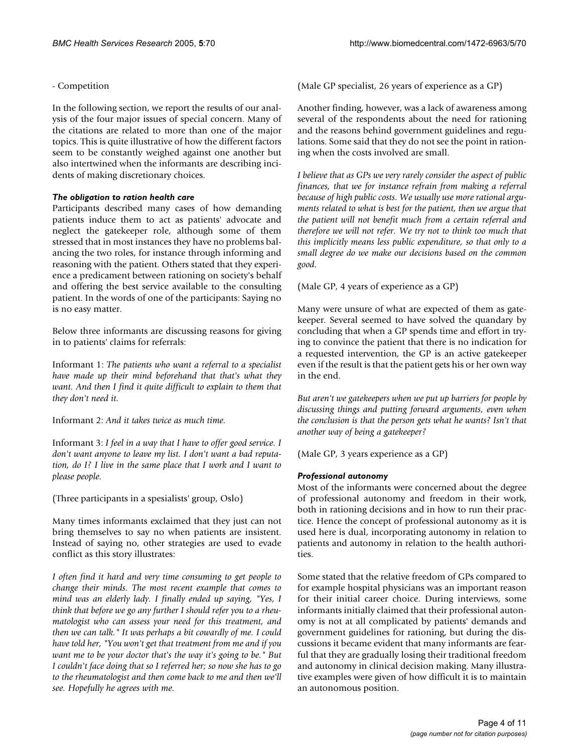#### - Competition

In the following section, we report the results of our analysis of the four major issues of special concern. Many of the citations are related to more than one of the major topics. This is quite illustrative of how the different factors seem to be constantly weighed against one another but also intertwined when the informants are describing incidents of making discretionary choices.

#### *The obligation to ration health care*

Participants described many cases of how demanding patients induce them to act as patients' advocate and neglect the gatekeeper role, although some of them stressed that in most instances they have no problems balancing the two roles, for instance through informing and reasoning with the patient. Others stated that they experience a predicament between rationing on society's behalf and offering the best service available to the consulting patient. In the words of one of the participants: Saying no is no easy matter.

Below three informants are discussing reasons for giving in to patients' claims for referrals:

Informant 1: *The patients who want a referral to a specialist have made up their mind beforehand that that's what they want. And then I find it quite difficult to explain to them that they don't need it.*

Informant 2: *And it takes twice as much time.*

Informant 3: *I feel in a way that I have to offer good service. I don't want anyone to leave my list. I don't want a bad reputation, do I? I live in the same place that I work and I want to please people.*

(Three participants in a spesialists' group, Oslo)

Many times informants exclaimed that they just can not bring themselves to say no when patients are insistent. Instead of saying no, other strategies are used to evade conflict as this story illustrates:

*I often find it hard and very time consuming to get people to change their minds. The most recent example that comes to mind was an elderly lady. I finally ended up saying, "Yes, I think that before we go any further I should refer you to a rheumatologist who can assess your need for this treatment, and then we can talk." It was perhaps a bit cowardly of me. I could have told her, "You won't get that treatment from me and if you want me to be your doctor that's the way it's going to be." But I couldn't face doing that so I referred her; so now she has to go to the rheumatologist and then come back to me and then we'll see. Hopefully he agrees with me.*

(Male GP specialist, 26 years of experience as a GP)

Another finding, however, was a lack of awareness among several of the respondents about the need for rationing and the reasons behind government guidelines and regulations. Some said that they do not see the point in rationing when the costs involved are small.

*I believe that as GPs we very rarely consider the aspect of public finances, that we for instance refrain from making a referral because of high public costs. We usually use more rational arguments related to what is best for the patient, then we argue that the patient will not benefit much from a certain referral and therefore we will not refer. We try not to think too much that this implicitly means less public expenditure, so that only to a small degree do we make our decisions based on the common good.*

(Male GP, 4 years of experience as a GP)

Many were unsure of what are expected of them as gatekeeper. Several seemed to have solved the quandary by concluding that when a GP spends time and effort in trying to convince the patient that there is no indication for a requested intervention, the GP is an active gatekeeper even if the result is that the patient gets his or her own way in the end.

*But aren't we gatekeepers when we put up barriers for people by discussing things and putting forward arguments, even when the conclusion is that the person gets what he wants? Isn't that another way of being a gatekeeper?*

(Male GP, 3 years experience as a GP)

#### *Professional autonomy*

Most of the informants were concerned about the degree of professional autonomy and freedom in their work, both in rationing decisions and in how to run their practice. Hence the concept of professional autonomy as it is used here is dual, incorporating autonomy in relation to patients and autonomy in relation to the health authorities.

Some stated that the relative freedom of GPs compared to for example hospital physicians was an important reason for their initial career choice. During interviews, some informants initially claimed that their professional autonomy is not at all complicated by patients' demands and government guidelines for rationing, but during the discussions it became evident that many informants are fearful that they are gradually losing their traditional freedom and autonomy in clinical decision making. Many illustrative examples were given of how difficult it is to maintain an autonomous position.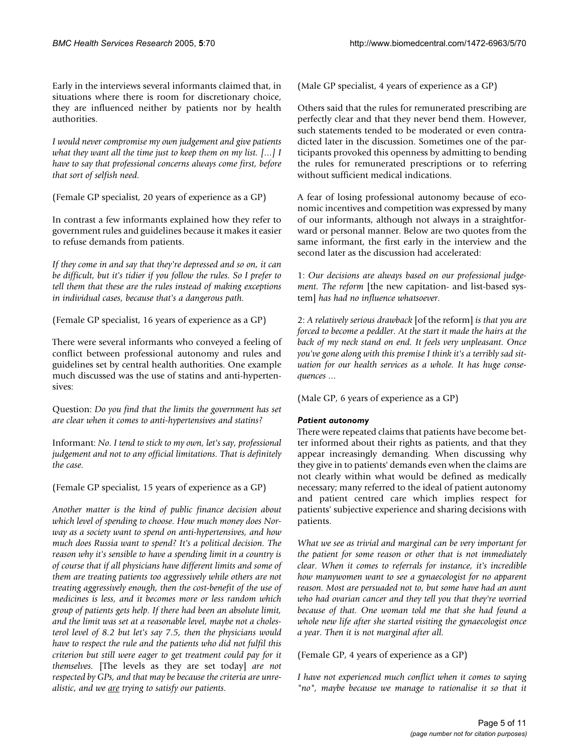Early in the interviews several informants claimed that, in situations where there is room for discretionary choice, they are influenced neither by patients nor by health authorities.

*I would never compromise my own judgement and give patients what they want all the time just to keep them on my list. [...] I have to say that professional concerns always come first, before that sort of selfish need.*

(Female GP specialist, 20 years of experience as a GP)

In contrast a few informants explained how they refer to government rules and guidelines because it makes it easier to refuse demands from patients.

*If they come in and say that they're depressed and so on, it can be difficult, but it's tidier if you follow the rules. So I prefer to tell them that these are the rules instead of making exceptions in individual cases, because that's a dangerous path.*

(Female GP specialist, 16 years of experience as a GP)

There were several informants who conveyed a feeling of conflict between professional autonomy and rules and guidelines set by central health authorities. One example much discussed was the use of statins and anti-hypertensives:

Question: *Do you find that the limits the government has set are clear when it comes to anti-hypertensives and statins?*

Informant: *No. I tend to stick to my own, let's say, professional judgement and not to any official limitations. That is definitely the case.*

(Female GP specialist, 15 years of experience as a GP)

*Another matter is the kind of public finance decision about which level of spending to choose. How much money does Norway as a society want to spend on anti-hypertensives, and how much does Russia want to spend? It's a political decision. The reason why it's sensible to have a spending limit in a country is of course that if all physicians have different limits and some of them are treating patients too aggressively while others are not treating aggressively enough, then the cost-benefit of the use of medicines is less, and it becomes more or less random which group of patients gets help. If there had been an absolute limit, and the limit was set at a reasonable level, maybe not a cholesterol level of 8.2 but let's say 7.5, then the physicians would have to respect the rule and the patients who did not fulfil this criterion but still were eager to get treatment could pay for it themselves.* [The levels as they are set today] *are not respected by GPs, and that may be because the criteria are unrealistic, and we are trying to satisfy our patients.*

(Male GP specialist, 4 years of experience as a GP)

Others said that the rules for remunerated prescribing are perfectly clear and that they never bend them. However, such statements tended to be moderated or even contradicted later in the discussion. Sometimes one of the participants provoked this openness by admitting to bending the rules for remunerated prescriptions or to referring without sufficient medical indications.

A fear of losing professional autonomy because of economic incentives and competition was expressed by many of our informants, although not always in a straightforward or personal manner. Below are two quotes from the same informant, the first early in the interview and the second later as the discussion had accelerated:

1: *Our decisions are always based on our professional judgement. The reform* [the new capitation- and list-based system] *has had no influence whatsoever.*

2: *A relatively serious drawback* [of the reform] *is that you are forced to become a peddler. At the start it made the hairs at the back of my neck stand on end. It feels very unpleasant. Once you've gone along with this premise I think it's a terribly sad situation for our health services as a whole. It has huge consequences ...*

(Male GP, 6 years of experience as a GP)

# *Patient autonomy*

There were repeated claims that patients have become better informed about their rights as patients, and that they appear increasingly demanding. When discussing why they give in to patients' demands even when the claims are not clearly within what would be defined as medically necessary; many referred to the ideal of patient autonomy and patient centred care which implies respect for patients' subjective experience and sharing decisions with patients.

*What we see as trivial and marginal can be very important for the patient for some reason or other that is not immediately clear. When it comes to referrals for instance, it's incredible how manywomen want to see a gynaecologist for no apparent reason. Most are persuaded not to, but some have had an aunt who had ovarian cancer and they tell you that they're worried because of that. One woman told me that she had found a whole new life after she started visiting the gynaecologist once a year. Then it is not marginal after all.*

(Female GP, 4 years of experience as a GP)

*I have not experienced much conflict when it comes to saying "no", maybe because we manage to rationalise it so that it*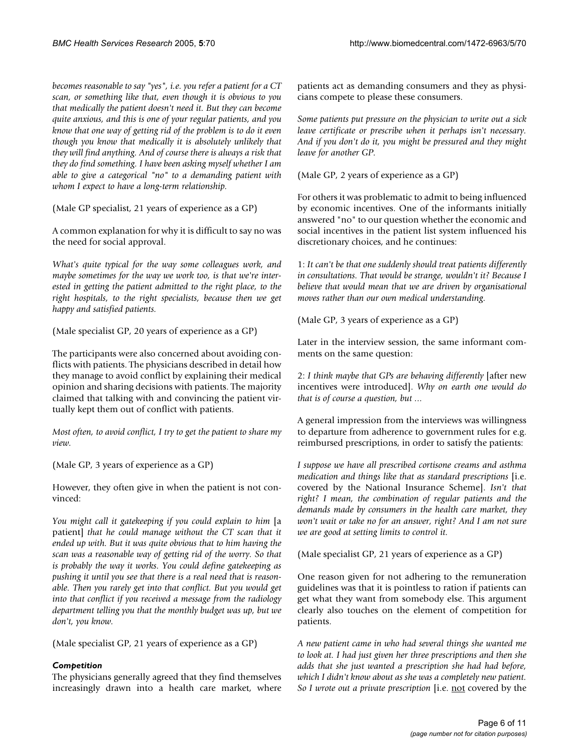*becomes reasonable to say "yes", i.e. you refer a patient for a CT scan, or something like that, even though it is obvious to you that medically the patient doesn't need it. But they can become quite anxious, and this is one of your regular patients, and you know that one way of getting rid of the problem is to do it even though you know that medically it is absolutely unlikely that they will find anything. And of course there is always a risk that they do find something. I have been asking myself whether I am able to give a categorical "no" to a demanding patient with whom I expect to have a long-term relationship.*

(Male GP specialist, 21 years of experience as a GP)

A common explanation for why it is difficult to say no was the need for social approval.

*What's quite typical for the way some colleagues work, and maybe sometimes for the way we work too, is that we're interested in getting the patient admitted to the right place, to the right hospitals, to the right specialists, because then we get happy and satisfied patients.*

(Male specialist GP, 20 years of experience as a GP)

The participants were also concerned about avoiding conflicts with patients. The physicians described in detail how they manage to avoid conflict by explaining their medical opinion and sharing decisions with patients. The majority claimed that talking with and convincing the patient virtually kept them out of conflict with patients.

*Most often, to avoid conflict, I try to get the patient to share my view.*

(Male GP, 3 years of experience as a GP)

However, they often give in when the patient is not convinced:

*You might call it gatekeeping if you could explain to him* [a patient] *that he could manage without the CT scan that it ended up with. But it was quite obvious that to him having the scan was a reasonable way of getting rid of the worry. So that is probably the way it works. You could define gatekeeping as pushing it until you see that there is a real need that is reasonable. Then you rarely get into that conflict. But you would get into that conflict if you received a message from the radiology department telling you that the monthly budget was up, but we don't, you know.*

(Male specialist GP, 21 years of experience as a GP)

# *Competition*

The physicians generally agreed that they find themselves increasingly drawn into a health care market, where patients act as demanding consumers and they as physicians compete to please these consumers.

*Some patients put pressure on the physician to write out a sick leave certificate or prescribe when it perhaps isn't necessary. And if you don't do it, you might be pressured and they might leave for another GP.*

(Male GP, 2 years of experience as a GP)

For others it was problematic to admit to being influenced by economic incentives. One of the informants initially answered "no" to our question whether the economic and social incentives in the patient list system influenced his discretionary choices, and he continues:

1: *It can't be that one suddenly should treat patients differently in consultations. That would be strange, wouldn't it? Because I believe that would mean that we are driven by organisational moves rather than our own medical understanding.*

(Male GP, 3 years of experience as a GP)

Later in the interview session, the same informant comments on the same question:

2: *I think maybe that GPs are behaving differently* [after new incentives were introduced]. *Why on earth one would do that is of course a question, but ...*

A general impression from the interviews was willingness to departure from adherence to government rules for e.g. reimbursed prescriptions, in order to satisfy the patients:

*I suppose we have all prescribed cortisone creams and asthma medication and things like that as standard prescriptions* [i.e. covered by the National Insurance Scheme]. *Isn't that right? I mean, the combination of regular patients and the demands made by consumers in the health care market, they won't wait or take no for an answer, right? And I am not sure we are good at setting limits to control it.*

(Male specialist GP, 21 years of experience as a GP)

One reason given for not adhering to the remuneration guidelines was that it is pointless to ration if patients can get what they want from somebody else. This argument clearly also touches on the element of competition for patients.

*A new patient came in who had several things she wanted me to look at. I had just given her three prescriptions and then she adds that she just wanted a prescription she had had before, which I didn't know about as she was a completely new patient. So I wrote out a private prescription* [i.e. **not** covered by the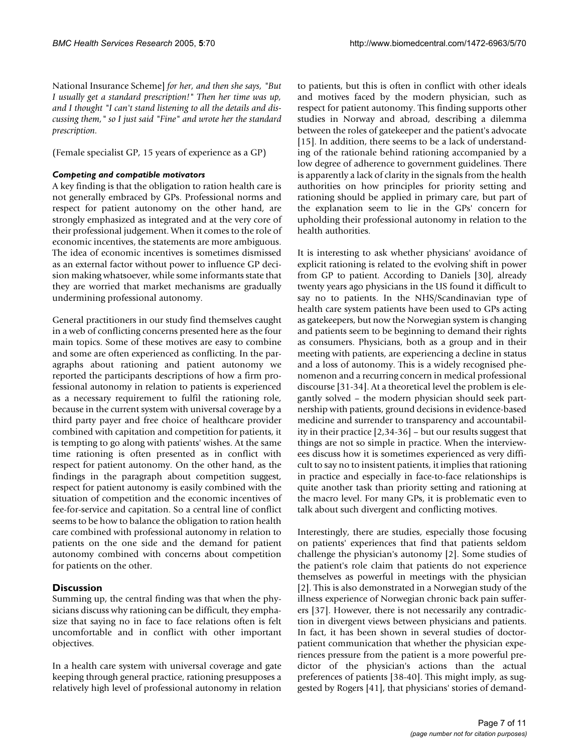National Insurance Scheme] *for her, and then she says, "But I usually get a standard prescription!" Then her time was up, and I thought "I can't stand listening to all the details and discussing them," so I just said "Fine" and wrote her the standard prescription.*

(Female specialist GP, 15 years of experience as a GP)

#### *Competing and compatible motivators*

A key finding is that the obligation to ration health care is not generally embraced by GPs. Professional norms and respect for patient autonomy on the other hand, are strongly emphasized as integrated and at the very core of their professional judgement. When it comes to the role of economic incentives, the statements are more ambiguous. The idea of economic incentives is sometimes dismissed as an external factor without power to influence GP decision making whatsoever, while some informants state that they are worried that market mechanisms are gradually undermining professional autonomy.

General practitioners in our study find themselves caught in a web of conflicting concerns presented here as the four main topics. Some of these motives are easy to combine and some are often experienced as conflicting. In the paragraphs about rationing and patient autonomy we reported the participants descriptions of how a firm professional autonomy in relation to patients is experienced as a necessary requirement to fulfil the rationing role, because in the current system with universal coverage by a third party payer and free choice of healthcare provider combined with capitation and competition for patients, it is tempting to go along with patients' wishes. At the same time rationing is often presented as in conflict with respect for patient autonomy. On the other hand, as the findings in the paragraph about competition suggest, respect for patient autonomy is easily combined with the situation of competition and the economic incentives of fee-for-service and capitation. So a central line of conflict seems to be how to balance the obligation to ration health care combined with professional autonomy in relation to patients on the one side and the demand for patient autonomy combined with concerns about competition for patients on the other.

# **Discussion**

Summing up, the central finding was that when the physicians discuss why rationing can be difficult, they emphasize that saying no in face to face relations often is felt uncomfortable and in conflict with other important objectives.

In a health care system with universal coverage and gate keeping through general practice, rationing presupposes a relatively high level of professional autonomy in relation to patients, but this is often in conflict with other ideals and motives faced by the modern physician, such as respect for patient autonomy. This finding supports other studies in Norway and abroad, describing a dilemma between the roles of gatekeeper and the patient's advocate [15]. In addition, there seems to be a lack of understanding of the rationale behind rationing accompanied by a low degree of adherence to government guidelines. There is apparently a lack of clarity in the signals from the health authorities on how principles for priority setting and rationing should be applied in primary care, but part of the explanation seem to lie in the GPs' concern for upholding their professional autonomy in relation to the health authorities.

It is interesting to ask whether physicians' avoidance of explicit rationing is related to the evolving shift in power from GP to patient. According to Daniels [30], already twenty years ago physicians in the US found it difficult to say no to patients. In the NHS/Scandinavian type of health care system patients have been used to GPs acting as gatekeepers, but now the Norwegian system is changing and patients seem to be beginning to demand their rights as consumers. Physicians, both as a group and in their meeting with patients, are experiencing a decline in status and a loss of autonomy. This is a widely recognised phenomenon and a recurring concern in medical professional discourse [31-34]. At a theoretical level the problem is elegantly solved – the modern physician should seek partnership with patients, ground decisions in evidence-based medicine and surrender to transparency and accountability in their practice [2,34-36] – but our results suggest that things are not so simple in practice. When the interviewees discuss how it is sometimes experienced as very difficult to say no to insistent patients, it implies that rationing in practice and especially in face-to-face relationships is quite another task than priority setting and rationing at the macro level. For many GPs, it is problematic even to talk about such divergent and conflicting motives.

Interestingly, there are studies, especially those focusing on patients' experiences that find that patients seldom challenge the physician's autonomy [2]. Some studies of the patient's role claim that patients do not experience themselves as powerful in meetings with the physician [2]. This is also demonstrated in a Norwegian study of the illness experience of Norwegian chronic back pain sufferers [37]. However, there is not necessarily any contradiction in divergent views between physicians and patients. In fact, it has been shown in several studies of doctorpatient communication that whether the physician experiences pressure from the patient is a more powerful predictor of the physician's actions than the actual preferences of patients [38-40]. This might imply, as suggested by Rogers [41], that physicians' stories of demand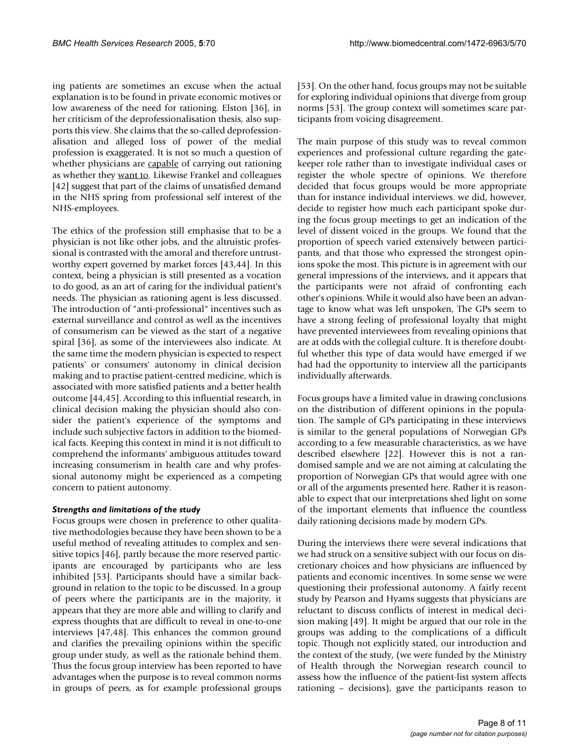ing patients are sometimes an excuse when the actual explanation is to be found in private economic motives or low awareness of the need for rationing. Elston [36], in her criticism of the deprofessionalisation thesis, also supports this view. She claims that the so-called deprofessionalisation and alleged loss of power of the medial profession is exaggerated. It is not so much a question of whether physicians are capable of carrying out rationing as whether they want to. Likewise Frankel and colleagues [42] suggest that part of the claims of unsatisfied demand in the NHS spring from professional self interest of the NHS-employees.

The ethics of the profession still emphasise that to be a physician is not like other jobs, and the altruistic professional is contrasted with the amoral and therefore untrustworthy expert governed by market forces [43,44]. In this context, being a physician is still presented as a vocation to do good, as an art of caring for the individual patient's needs. The physician as rationing agent is less discussed. The introduction of "anti-professional" incentives such as external surveillance and control as well as the incentives of consumerism can be viewed as the start of a negative spiral [36], as some of the interviewees also indicate. At the same time the modern physician is expected to respect patients' or consumers' autonomy in clinical decision making and to practise patient-centred medicine, which is associated with more satisfied patients and a better health outcome [44,45]. According to this influential research, in clinical decision making the physician should also consider the patient's experience of the symptoms and include such subjective factors in addition to the biomedical facts. Keeping this context in mind it is not difficult to comprehend the informants' ambiguous attitudes toward increasing consumerism in health care and why professional autonomy might be experienced as a competing concern to patient autonomy.

#### *Strengths and limitations of the study*

Focus groups were chosen in preference to other qualitative methodologies because they have been shown to be a useful method of revealing attitudes to complex and sensitive topics [46], partly because the more reserved participants are encouraged by participants who are less inhibited [53]. Participants should have a similar background in relation to the topic to be discussed. In a group of peers where the participants are in the majority, it appears that they are more able and willing to clarify and express thoughts that are difficult to reveal in one-to-one interviews [47,48]. This enhances the common ground and clarifies the prevailing opinions within the specific group under study, as well as the rationale behind them. Thus the focus group interview has been reported to have advantages when the purpose is to reveal common norms in groups of peers, as for example professional groups

[53]. On the other hand, focus groups may not be suitable for exploring individual opinions that diverge from group norms [53]. The group context will sometimes scare participants from voicing disagreement.

The main purpose of this study was to reveal common experiences and professional culture regarding the gatekeeper role rather than to investigate individual cases or register the whole spectre of opinions. We therefore decided that focus groups would be more appropriate than for instance individual interviews. we did, however, decide to register how much each participant spoke during the focus group meetings to get an indication of the level of dissent voiced in the groups. We found that the proportion of speech varied extensively between participants, and that those who expressed the strongest opinions spoke the most. This picture is in agreement with our general impressions of the interviews, and it appears that the participants were not afraid of confronting each other's opinions. While it would also have been an advantage to know what was left unspoken, The GPs seem to have a strong feeling of professional loyalty that might have prevented interviewees from revealing opinions that are at odds with the collegial culture. It is therefore doubtful whether this type of data would have emerged if we had had the opportunity to interview all the participants individually afterwards.

Focus groups have a limited value in drawing conclusions on the distribution of different opinions in the population. The sample of GPs participating in these interviews is similar to the general populations of Norwegian GPs according to a few measurable characteristics, as we have described elsewhere [22]. However this is not a randomised sample and we are not aiming at calculating the proportion of Norwegian GPs that would agree with one or all of the arguments presented here. Rather it is reasonable to expect that our interpretations shed light on some of the important elements that influence the countless daily rationing decisions made by modern GPs.

During the interviews there were several indications that we had struck on a sensitive subject with our focus on discretionary choices and how physicians are influenced by patients and economic incentives. In some sense we were questioning their professional autonomy. A fairly recent study by Pearson and Hyams suggests that physicians are reluctant to discuss conflicts of interest in medical decision making [49]. It might be argued that our role in the groups was adding to the complications of a difficult topic. Though not explicitly stated, our introduction and the context of the study, (we were funded by the Ministry of Health through the Norwegian research council to assess how the influence of the patient-list system affects rationing – decisions), gave the participants reason to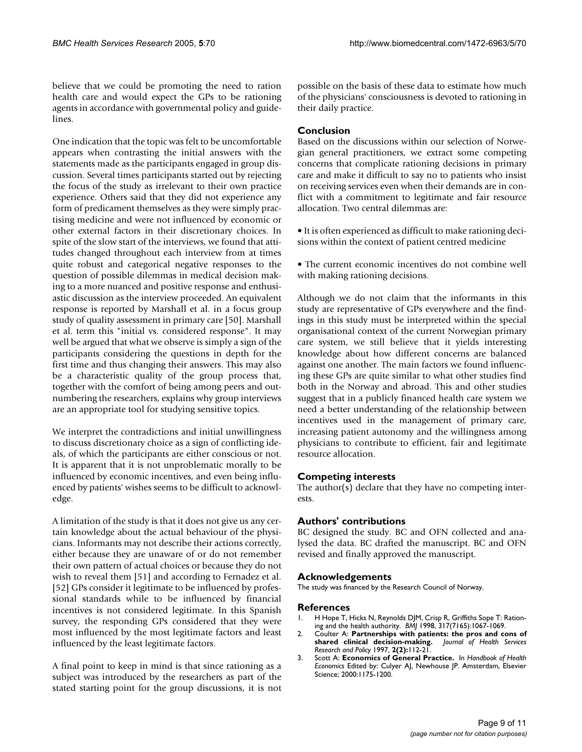believe that we could be promoting the need to ration health care and would expect the GPs to be rationing agents in accordance with governmental policy and guidelines.

One indication that the topic was felt to be uncomfortable appears when contrasting the initial answers with the statements made as the participants engaged in group discussion. Several times participants started out by rejecting the focus of the study as irrelevant to their own practice experience. Others said that they did not experience any form of predicament themselves as they were simply practising medicine and were not influenced by economic or other external factors in their discretionary choices. In spite of the slow start of the interviews, we found that attitudes changed throughout each interview from at times quite robust and categorical negative responses to the question of possible dilemmas in medical decision making to a more nuanced and positive response and enthusiastic discussion as the interview proceeded. An equivalent response is reported by Marshall et al. in a focus group study of quality assessment in primary care [50]. Marshall et al. term this "initial vs. considered response". It may well be argued that what we observe is simply a sign of the participants considering the questions in depth for the first time and thus changing their answers. This may also be a characteristic quality of the group process that, together with the comfort of being among peers and outnumbering the researchers, explains why group interviews are an appropriate tool for studying sensitive topics.

We interpret the contradictions and initial unwillingness to discuss discretionary choice as a sign of conflicting ideals, of which the participants are either conscious or not. It is apparent that it is not unproblematic morally to be influenced by economic incentives, and even being influenced by patients' wishes seems to be difficult to acknowledge.

A limitation of the study is that it does not give us any certain knowledge about the actual behaviour of the physicians. Informants may not describe their actions correctly, either because they are unaware of or do not remember their own pattern of actual choices or because they do not wish to reveal them [51] and according to Fernadez et al. [52] GPs consider it legitimate to be influenced by professional standards while to be influenced by financial incentives is not considered legitimate. In this Spanish survey, the responding GPs considered that they were most influenced by the most legitimate factors and least influenced by the least legitimate factors.

A final point to keep in mind is that since rationing as a subject was introduced by the researchers as part of the stated starting point for the group discussions, it is not possible on the basis of these data to estimate how much of the physicians' consciousness is devoted to rationing in their daily practice.

# **Conclusion**

Based on the discussions within our selection of Norwegian general practitioners, we extract some competing concerns that complicate rationing decisions in primary care and make it difficult to say no to patients who insist on receiving services even when their demands are in conflict with a commitment to legitimate and fair resource allocation. Two central dilemmas are:

• It is often experienced as difficult to make rationing decisions within the context of patient centred medicine

• The current economic incentives do not combine well with making rationing decisions.

Although we do not claim that the informants in this study are representative of GPs everywhere and the findings in this study must be interpreted within the special organisational context of the current Norwegian primary care system, we still believe that it yields interesting knowledge about how different concerns are balanced against one another. The main factors we found influencing these GPs are quite similar to what other studies find both in the Norway and abroad. This and other studies suggest that in a publicly financed health care system we need a better understanding of the relationship between incentives used in the management of primary care, increasing patient autonomy and the willingness among physicians to contribute to efficient, fair and legitimate resource allocation.

# **Competing interests**

The author(s) declare that they have no competing interests.

# **Authors' contributions**

BC designed the study. BC and OFN collected and analysed the data. BC drafted the manuscript. BC and OFN revised and finally approved the manuscript.

# **Acknowledgements**

The study was financed by the Research Council of Norway.

# **References**

- 1. H Hope T, Hicks N, Reynolds DJM, Crisp R, Griffiths Sope T: [Ration](http://www.ncbi.nlm.nih.gov/entrez/query.fcgi?cmd=Retrieve&db=PubMed&dopt=Abstract&list_uids=9774299)[ing and the health authority.](http://www.ncbi.nlm.nih.gov/entrez/query.fcgi?cmd=Retrieve&db=PubMed&dopt=Abstract&list_uids=9774299) *BMJ* 1998, 317(7165):1067-1069.
- 2. Coulter A: **Partnerships with patients: the pros and cons of shared clinical decision-making.** *Journal of Health Services Research and Policy* 1997, **2(2):**112-21.
- 3. Scott A: **Economics of General Practice.** In *Handbook of Health Economics* Edited by: Culyer AJ, Newhouse JP. Amsterdam, Elsevier Science; 2000:1175-1200.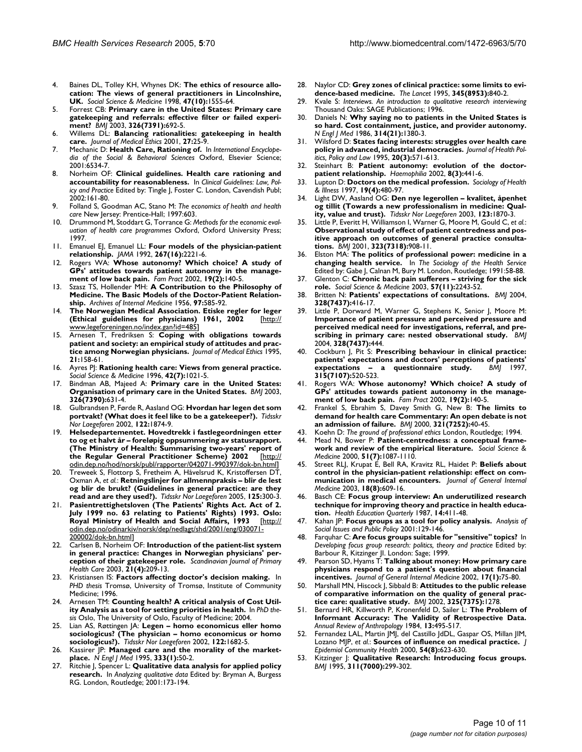- 4. Baines DL, Tolley KH, Whynes DK: **The ethics of resource allocation: The views of general practitioners in Lincolnshire, UK.** *Social Science & Medicine* 1998, **47(10):**1555-64.
- 5. Forrest CB: **[Primary care in the United States: Primary care](http://www.ncbi.nlm.nih.gov/entrez/query.fcgi?cmd=Retrieve&db=PubMed&dopt=Abstract&list_uids=12663407) [gatekeeping and referrals: effective filter or failed experi](http://www.ncbi.nlm.nih.gov/entrez/query.fcgi?cmd=Retrieve&db=PubMed&dopt=Abstract&list_uids=12663407)[ment?](http://www.ncbi.nlm.nih.gov/entrez/query.fcgi?cmd=Retrieve&db=PubMed&dopt=Abstract&list_uids=12663407)** *BMJ* 2003, **326(7391):**692-5.
- 6. Willems DL: **[Balancing rationalities: gatekeeping in health](http://www.ncbi.nlm.nih.gov/entrez/query.fcgi?cmd=Retrieve&db=PubMed&dopt=Abstract&list_uids=11233373) [care.](http://www.ncbi.nlm.nih.gov/entrez/query.fcgi?cmd=Retrieve&db=PubMed&dopt=Abstract&list_uids=11233373)** *Journal of Medical Ethics* 2001, **27:**25-9.
- 7. Mechanic D: **Health Care, Rationing of.** In *International Encyclopedia of the Social & Behavioral Sciences* Oxford, Elsevier Science; 2001:6534-7.
- 8. Norheim OF: **Clinical guidelines. Health care rationing and accountability for reasonableness.** In *Clinical Guidelines: Law, Policy and Practice* Edited by: Tingle J, Foster C. London, Cavendish Publ; 2002:161-80.
- 9. Folland S, Goodman AC, Stano M: *The economics of health and health care* New Jersey: Prentice-Hall; 1997:603.
- 10. Drummond M, Stoddart G, Torrance G: *Methods for the economic evaluation of health care programmes* Oxford, Oxford University Press; 1997.
- 11. Emanuel EJ, Emanuel LL: **[Four models of the physician-patient](http://www.ncbi.nlm.nih.gov/entrez/query.fcgi?cmd=Retrieve&db=PubMed&dopt=Abstract&list_uids=1556799) [relationship.](http://www.ncbi.nlm.nih.gov/entrez/query.fcgi?cmd=Retrieve&db=PubMed&dopt=Abstract&list_uids=1556799)** *JAMA* 1992, **267(16):**2221-6.
- 12. Rogers WA: **[Whose autonomy? Which choice? A study of](http://www.ncbi.nlm.nih.gov/entrez/query.fcgi?cmd=Retrieve&db=PubMed&dopt=Abstract&list_uids=11906978) [GPs' attitudes towards patient autonomy in the manage](http://www.ncbi.nlm.nih.gov/entrez/query.fcgi?cmd=Retrieve&db=PubMed&dopt=Abstract&list_uids=11906978)[ment of low back pain.](http://www.ncbi.nlm.nih.gov/entrez/query.fcgi?cmd=Retrieve&db=PubMed&dopt=Abstract&list_uids=11906978)** *Fam Pract* 2002, **19(2):**140-5.
- 13. Szasz TS, Hollender MH: **A Contribution to the Philosophy of Medicine. The Basic Models of the Doctor-Patient Relationship.** *Archives of Internal Medicine* 1956, **97:**585-92.
- 14. **The Norwegian Medical Association. Etiske regler for leger (Ethical guidelines for physicians) 1961, 2002** [[http://](http://www.legeforeningen.no/index.gan?id=485) [www.legeforeningen.no/index.gan?id=485](http://www.legeforeningen.no/index.gan?id=485)]
- 15. Arnesen T, Fredriksen S: **[Coping with obligations towards](http://www.ncbi.nlm.nih.gov/entrez/query.fcgi?cmd=Retrieve&db=PubMed&dopt=Abstract&list_uids=7674280) [patient and society: an empirical study of attitudes and prac](http://www.ncbi.nlm.nih.gov/entrez/query.fcgi?cmd=Retrieve&db=PubMed&dopt=Abstract&list_uids=7674280)[tice among Norwegian physicians.](http://www.ncbi.nlm.nih.gov/entrez/query.fcgi?cmd=Retrieve&db=PubMed&dopt=Abstract&list_uids=7674280)** *Journal of Medical Ethics* 1995, **21:**158-61.
- 16. Ayres PJ: **Rationing health care: Views from general practice.** *Social Science & Medicine* 1996, **42(7):**1021-5.
- 17. Bindman AB, Majeed A: **[Primary care in the United States:](http://www.ncbi.nlm.nih.gov/entrez/query.fcgi?cmd=Retrieve&db=PubMed&dopt=Abstract&list_uids=12649238) [Organisation of primary care in the United States.](http://www.ncbi.nlm.nih.gov/entrez/query.fcgi?cmd=Retrieve&db=PubMed&dopt=Abstract&list_uids=12649238)** *BMJ* 2003, **326(7390):**631-4.
- 18. Gulbrandsen P, Førde R, Aasland OG: **[Hvordan har legen det som](http://www.ncbi.nlm.nih.gov/entrez/query.fcgi?cmd=Retrieve&db=PubMed&dopt=Abstract&list_uids=12362710) [portvakt? \(What does it feel like to be a gatekeeper?\).](http://www.ncbi.nlm.nih.gov/entrez/query.fcgi?cmd=Retrieve&db=PubMed&dopt=Abstract&list_uids=12362710)** *Tidsskr Nor Laegeforen* 2002, **122:**1874-9.
- 19. **Helsedepartementet. Hovedtrekk i fastlegeordningen etter to og et halvt år – foreløpig oppsummering av statusrapport. (The Ministry of Health: Summarising two-years' report of the Regular General Practitioner Scheme) 2002** [[http://](http://odin.dep.no/hod/norsk/publ/rapporter/042071-990397/dok-bn.html) [odin.dep.no/hod/norsk/publ/rapporter/042071-990397/dok-bn.html](http://odin.dep.no/hod/norsk/publ/rapporter/042071-990397/dok-bn.html)]
- 20. Treweek S, Flottorp S, Fretheim A, Håvelsrud K, Kristoffersen DT, Oxman A, *et al.*: **[Retningslinjer for allmennpraksis – blir de lest](http://www.ncbi.nlm.nih.gov/entrez/query.fcgi?cmd=Retrieve&db=PubMed&dopt=Abstract&list_uids=15702152) [og blir de brukt? \(Guidelines in general practice: are they](http://www.ncbi.nlm.nih.gov/entrez/query.fcgi?cmd=Retrieve&db=PubMed&dopt=Abstract&list_uids=15702152) [read and are they used?\).](http://www.ncbi.nlm.nih.gov/entrez/query.fcgi?cmd=Retrieve&db=PubMed&dopt=Abstract&list_uids=15702152)** *Tidsskr Nor Laegeforen* 2005, **125:**300-3.
- 21. **Pasientrettighetsloven (The Patients' Rights Act. Act of 2. July 1999 no. 63 relating to Patients' Rights) 1993. Oslo: Royal Ministry of Health and Social Affairs, 1993** [[http://](http://odin.dep.no/odinarkiv/norsk/dep/nedlagt/shd/2001/eng/030071-200002/dok-bn.html) [odin.dep.no/odinarkiv/norsk/dep/nedlagt/shd/2001/eng/030071-](http://odin.dep.no/odinarkiv/norsk/dep/nedlagt/shd/2001/eng/030071-200002/dok-bn.html) [200002/dok-bn.html\]](http://odin.dep.no/odinarkiv/norsk/dep/nedlagt/shd/2001/eng/030071-200002/dok-bn.html)
- 22. Carlsen B, Norheim OF: **[Introduction of the patient-list system](http://www.ncbi.nlm.nih.gov/entrez/query.fcgi?cmd=Retrieve&db=PubMed&dopt=Abstract&list_uids=14695070) [in general practice: Changes in Norwegian physicians' per](http://www.ncbi.nlm.nih.gov/entrez/query.fcgi?cmd=Retrieve&db=PubMed&dopt=Abstract&list_uids=14695070)[ception of their gatekeeper role.](http://www.ncbi.nlm.nih.gov/entrez/query.fcgi?cmd=Retrieve&db=PubMed&dopt=Abstract&list_uids=14695070)** *Scandinavian Journal of Primary Health Care* 2003, **21(4):**209-13.
- 23. Kristiansen IS: **Factors affecting doctor's decision making.** In *PHD thesis* Tromsø, University of Tromsø, Institute of Community Medicine; 1996.
- 24. Arnesen TM: **Counting health? A critical analysis of Cost Utility Analysis as a tool for setting priorities in health.** In *PhD thesis* Oslo, The University of Oslo, Faculty of Medicine; 2004.
- 25. Lian AS, Røttingen JA: **[Legen homo economicus eller homo](http://www.ncbi.nlm.nih.gov/entrez/query.fcgi?cmd=Retrieve&db=PubMed&dopt=Abstract&list_uids=12555612) [sociologicus? \(The physician – homo economicus or homo](http://www.ncbi.nlm.nih.gov/entrez/query.fcgi?cmd=Retrieve&db=PubMed&dopt=Abstract&list_uids=12555612) [sociologicus?\).](http://www.ncbi.nlm.nih.gov/entrez/query.fcgi?cmd=Retrieve&db=PubMed&dopt=Abstract&list_uids=12555612)** *Tidsskr Nor Laegeforen* 2002, **122:**1682-5.
- 26. Kassirer JP: **[Managed care and the morality of the market](http://www.ncbi.nlm.nih.gov/entrez/query.fcgi?cmd=Retrieve&db=PubMed&dopt=Abstract&list_uids=7776996)[place.](http://www.ncbi.nlm.nih.gov/entrez/query.fcgi?cmd=Retrieve&db=PubMed&dopt=Abstract&list_uids=7776996)** *N Engl J Med* 1995, **333(1):**50-2.
- 27. Ritchie J, Spencer L: **Qualitative data analysis for applied policy research.** In *Analyzing qualitative data* Edited by: Bryman A, Burgess RG. London, Routledge; 2001:173-194.
- 28. Naylor CD: **Grey zones of clinical practice: some limits to evidence-based medicine.** *The Lancet* 1995, **345(8953):**840-2.
- 29. Kvale S: *Interviews. An introduction to qualitative research interviewing* Thousand Oaks: SAGE Publications; 1996.
- 30. Daniels N: **[Why saying no to patients in the United States is](http://www.ncbi.nlm.nih.gov/entrez/query.fcgi?cmd=Retrieve&db=PubMed&dopt=Abstract&list_uids=3702945) [so hard. Cost containment, justice, and provider autonomy.](http://www.ncbi.nlm.nih.gov/entrez/query.fcgi?cmd=Retrieve&db=PubMed&dopt=Abstract&list_uids=3702945)** *N Engl J Med* 1986, **314(21):**1380-3.
- 31. Wilsford D: **[States facing interests: struggles over health care](http://www.ncbi.nlm.nih.gov/entrez/query.fcgi?cmd=Retrieve&db=PubMed&dopt=Abstract&list_uids=8530769) [policy in advanced, industrial democracies.](http://www.ncbi.nlm.nih.gov/entrez/query.fcgi?cmd=Retrieve&db=PubMed&dopt=Abstract&list_uids=8530769)** *Journal of Health Politics, Policy and Law* 1995, **20(3):**571-613.
- 32. Steinhart B: **[Patient autonomy: evolution of the doctor](http://www.ncbi.nlm.nih.gov/entrez/query.fcgi?cmd=Retrieve&db=PubMed&dopt=Abstract&list_uids=12010448)[patient relationship.](http://www.ncbi.nlm.nih.gov/entrez/query.fcgi?cmd=Retrieve&db=PubMed&dopt=Abstract&list_uids=12010448)** *Haemophilia* 2002, **8(3):**441-6.
- 33. Lupton D: **Doctors on the medical profession.** *Sociology of Health & Illness* 1997, **19(4):**480-97.
- 34. Light DW, Aasland OG: **[Den nye legerollen kvalitet, åpenhet](http://www.ncbi.nlm.nih.gov/entrez/query.fcgi?cmd=Retrieve&db=PubMed&dopt=Abstract&list_uids=12830270) [og tillit \(Towards a new professionalism in medicine: Qual](http://www.ncbi.nlm.nih.gov/entrez/query.fcgi?cmd=Retrieve&db=PubMed&dopt=Abstract&list_uids=12830270)[ity, value and trust\).](http://www.ncbi.nlm.nih.gov/entrez/query.fcgi?cmd=Retrieve&db=PubMed&dopt=Abstract&list_uids=12830270)** *Tidsskr Nor Laegeforen* 2003, **123:**1870-3.
- 35. Little P, Everitt H, Williamson I, Warner G, Moore M, Gould C, *et al.*: **Observational study of effect of patient centredness and pos**[itive approach on outcomes of general practice consulta](http://www.ncbi.nlm.nih.gov/entrez/query.fcgi?cmd=Retrieve&db=PubMed&dopt=Abstract&list_uids=11668137)**[tions.](http://www.ncbi.nlm.nih.gov/entrez/query.fcgi?cmd=Retrieve&db=PubMed&dopt=Abstract&list_uids=11668137)** *BMJ* 2001, **323(7318):**908-11.
- 36. Elston MA: **The politics of professional power: medicine in a changing health service.** In *The Sociology of the Health Service* Edited by: Gabe J, Calnan M, Bury M. London, Routledge; 1991:58-88.
- 37. Glenton C: **Chronic back pain sufferers striving for the sick role.** *Social Science & Medicine* 2003, **57(11):**2243-52.
- 38. Britten N: **[Patients' expectations of consultations.](http://www.ncbi.nlm.nih.gov/entrez/query.fcgi?cmd=Retrieve&db=PubMed&dopt=Abstract&list_uids=14976072)** *BMJ* 2004, **328(7437):**416-17.
- 39. Little P, Dorward M, Warner G, Stephens K, Senior J, Moore M: **Importance of patient pressure and perceived pressure and [perceived medical need for investigations, referral, and pre](http://www.ncbi.nlm.nih.gov/entrez/query.fcgi?cmd=Retrieve&db=PubMed&dopt=Abstract&list_uids=14966079)[scribing in primary care: nested observational study.](http://www.ncbi.nlm.nih.gov/entrez/query.fcgi?cmd=Retrieve&db=PubMed&dopt=Abstract&list_uids=14966079)** *BMJ* 2004, **328(7437):**444.
- 40. Cockburn J, Pit S: **[Prescribing behaviour in clinical practice:](http://www.ncbi.nlm.nih.gov/entrez/query.fcgi?cmd=Retrieve&db=PubMed&dopt=Abstract&list_uids=9329308) [patients' expectations and doctors' perceptions of patients'](http://www.ncbi.nlm.nih.gov/entrez/query.fcgi?cmd=Retrieve&db=PubMed&dopt=Abstract&list_uids=9329308) [expectations – a questionnaire study.](http://www.ncbi.nlm.nih.gov/entrez/query.fcgi?cmd=Retrieve&db=PubMed&dopt=Abstract&list_uids=9329308)** *BMJ* 1997, **315(7107):**520-523.
- 41. Rogers WA: **[Whose autonomy? Which choice? A study of](http://www.ncbi.nlm.nih.gov/entrez/query.fcgi?cmd=Retrieve&db=PubMed&dopt=Abstract&list_uids=11906978) [GPs' attitudes towards patient autonomy in the manage](http://www.ncbi.nlm.nih.gov/entrez/query.fcgi?cmd=Retrieve&db=PubMed&dopt=Abstract&list_uids=11906978)[ment of low back pain.](http://www.ncbi.nlm.nih.gov/entrez/query.fcgi?cmd=Retrieve&db=PubMed&dopt=Abstract&list_uids=11906978)** *Fam Pract* 2002, **19(2):**140-5.
- 42. Frankel S, Ebrahim S, Davey Smith G, New B: **[The limits to](http://www.ncbi.nlm.nih.gov/entrez/query.fcgi?cmd=Retrieve&db=PubMed&dopt=Abstract&list_uids=10875836) [demand for health care Commentary: An open debate is not](http://www.ncbi.nlm.nih.gov/entrez/query.fcgi?cmd=Retrieve&db=PubMed&dopt=Abstract&list_uids=10875836) [an admission of failure.](http://www.ncbi.nlm.nih.gov/entrez/query.fcgi?cmd=Retrieve&db=PubMed&dopt=Abstract&list_uids=10875836)** *BMJ* 2000, **321(7252):**40-45.
- 43. Koehn D: *The ground of professional ethics* London, Routledge; 1994.
- Mead N, Bower P: Patient-centredness: a conceptual frame**work and review of the empirical literature.** *Social Science & Medicine* 2000, **51(7):**1087-1110.
- 45. Street RLJ, Krupat E, Bell RA, Kravitz RL, Haidet P: **[Beliefs about](http://www.ncbi.nlm.nih.gov/entrez/query.fcgi?cmd=Retrieve&db=PubMed&dopt=Abstract&list_uids=12911642) [control in the physician-patient relationship: effect on com](http://www.ncbi.nlm.nih.gov/entrez/query.fcgi?cmd=Retrieve&db=PubMed&dopt=Abstract&list_uids=12911642)[munication in medical encounters.](http://www.ncbi.nlm.nih.gov/entrez/query.fcgi?cmd=Retrieve&db=PubMed&dopt=Abstract&list_uids=12911642)** *Journal of General Internal Medicine* 2003, **18(8):**609-16.
- 46. Basch CE: **[Focus group interview: An underutilized research](http://www.ncbi.nlm.nih.gov/entrez/query.fcgi?cmd=Retrieve&db=PubMed&dopt=Abstract&list_uids=3319971) [technique for improving theory and practice in health educa](http://www.ncbi.nlm.nih.gov/entrez/query.fcgi?cmd=Retrieve&db=PubMed&dopt=Abstract&list_uids=3319971)[tion.](http://www.ncbi.nlm.nih.gov/entrez/query.fcgi?cmd=Retrieve&db=PubMed&dopt=Abstract&list_uids=3319971)** *Health Education Quarterly* 1987, **14:**411-48.
- 47. Kahan JP: **Focus groups as a tool for policy analysis.** *Analysis of Social Issues and Public Policy* 2001:129-146.
- 48. Farquhar C: **Are focus groups suitable for "sensitive" topics?** In *Developing focus group research: politics, theory and practice* Edited by: Barbour R, Kitzinger JI. London: Sage; 1999.
- 49. Pearson SD, Hyams T: **[Talking about money: How primary care](http://www.ncbi.nlm.nih.gov/entrez/query.fcgi?cmd=Retrieve&db=PubMed&dopt=Abstract&list_uids=11903778) [physicians respond to a patient's question about financial](http://www.ncbi.nlm.nih.gov/entrez/query.fcgi?cmd=Retrieve&db=PubMed&dopt=Abstract&list_uids=11903778) [incentives.](http://www.ncbi.nlm.nih.gov/entrez/query.fcgi?cmd=Retrieve&db=PubMed&dopt=Abstract&list_uids=11903778)** *Journal of General Internal Medicine* 2002, **17(1):**75-80.
- 50. Marshall MN, Hiscock J, Sibbald B: **[Attitudes to the public release](http://www.ncbi.nlm.nih.gov/entrez/query.fcgi?cmd=Retrieve&db=PubMed&dopt=Abstract&list_uids=12458248) [of comparative information on the quality of general prac](http://www.ncbi.nlm.nih.gov/entrez/query.fcgi?cmd=Retrieve&db=PubMed&dopt=Abstract&list_uids=12458248)[tice care: qualitative study.](http://www.ncbi.nlm.nih.gov/entrez/query.fcgi?cmd=Retrieve&db=PubMed&dopt=Abstract&list_uids=12458248)** *BMJ* 2002, **325(7375):**1278.
- 51. Bernard HR, Killworth P, Kronenfeld D, Sailer L: **The Problem of Informant Accuracy: The Validity of Retrospective Data.** *Annual Review of Anthropology* 1984, **13:**495-517.
- 52. Fernandez LAL, Martin JMJ, del Castillo JdDL, Gaspar OS, Millan JIM, Lozano MJP, *et al.*: **[Sources of influence on medical practice.](http://www.ncbi.nlm.nih.gov/entrez/query.fcgi?cmd=Retrieve&db=PubMed&dopt=Abstract&list_uids=10890875)** *J Epidemiol Community Health* 2000, **54(8):**623-630.
- 53. Kitzinger J: **[Qualitative Research: Introducing focus groups.](http://www.ncbi.nlm.nih.gov/entrez/query.fcgi?cmd=Retrieve&db=PubMed&dopt=Abstract&list_uids=7633241)** *BMJ* 1995, **311(7000):**299-302.